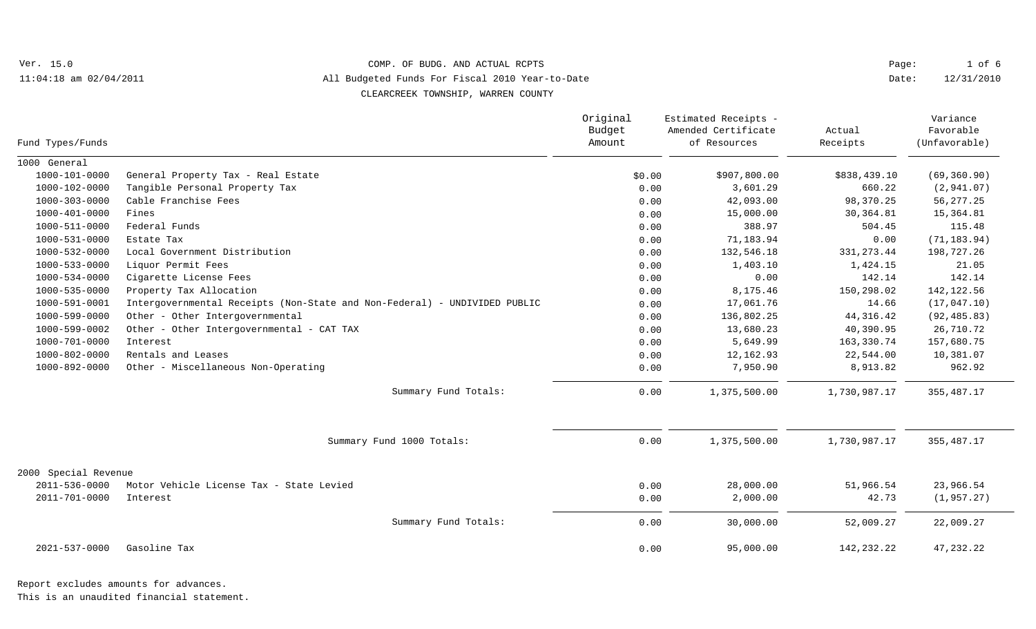Ver. 15.0 11:04:18 am 02/04/2011

## COMP. OF BUDG. AND ACTUAL RCPTS

All Budgeted Funds For Fiscal 2010 Year-to-Date

CLEARCREEK TOWNSHIP, WARREN COUNTY

| Fund Types/Funds     |                                                                           | Original<br>Budget<br>Amount | Estimated Receipts -<br>Amended Certificate<br>of Resources | Actual<br>Receipts | Variance<br>Favorable<br>(Unfavorable) |
|----------------------|---------------------------------------------------------------------------|------------------------------|-------------------------------------------------------------|--------------------|----------------------------------------|
| 1000 General         |                                                                           |                              |                                                             |                    |                                        |
| 1000-101-0000        | General Property Tax - Real Estate                                        | \$0.00                       | \$907,800.00                                                | \$838,439.10       | (69, 360.90)                           |
| 1000-102-0000        | Tangible Personal Property Tax                                            | 0.00                         | 3,601.29                                                    | 660.22             | (2, 941.07)                            |
| 1000-303-0000        | Cable Franchise Fees                                                      | 0.00                         | 42,093.00                                                   | 98,370.25          | 56, 277.25                             |
| 1000-401-0000        | Fines                                                                     | 0.00                         | 15,000.00                                                   | 30, 364.81         | 15,364.81                              |
| 1000-511-0000        | Federal Funds                                                             | 0.00                         | 388.97                                                      | 504.45             | 115.48                                 |
| 1000-531-0000        | Estate Tax                                                                | 0.00                         | 71,183.94                                                   | 0.00               | (71, 183.94)                           |
| 1000-532-0000        | Local Government Distribution                                             | 0.00                         | 132,546.18                                                  | 331, 273.44        | 198,727.26                             |
| 1000-533-0000        | Liquor Permit Fees                                                        | 0.00                         | 1,403.10                                                    | 1,424.15           | 21.05                                  |
| 1000-534-0000        | Cigarette License Fees                                                    | 0.00                         | 0.00                                                        | 142.14             | 142.14                                 |
| 1000-535-0000        | Property Tax Allocation                                                   | 0.00                         | 8,175.46                                                    | 150,298.02         | 142, 122.56                            |
| 1000-591-0001        | Intergovernmental Receipts (Non-State and Non-Federal) - UNDIVIDED PUBLIC | 0.00                         | 17,061.76                                                   | 14.66              | (17, 047.10)                           |
| 1000-599-0000        | Other - Other Intergovernmental                                           | 0.00                         | 136,802.25                                                  | 44, 316.42         | (92, 485.83)                           |
| 1000-599-0002        | Other - Other Intergovernmental - CAT TAX                                 | 0.00                         | 13,680.23                                                   | 40,390.95          | 26,710.72                              |
| 1000-701-0000        | Interest                                                                  | 0.00                         | 5,649.99                                                    | 163,330.74         | 157,680.75                             |
| 1000-802-0000        | Rentals and Leases                                                        | 0.00                         | 12,162.93                                                   | 22,544.00          | 10,381.07                              |
| 1000-892-0000        | Other - Miscellaneous Non-Operating                                       | 0.00                         | 7,950.90                                                    | 8,913.82           | 962.92                                 |
|                      | Summary Fund Totals:                                                      | 0.00                         | 1,375,500.00                                                | 1,730,987.17       | 355, 487.17                            |
|                      | Summary Fund 1000 Totals:                                                 | 0.00                         | 1,375,500.00                                                | 1,730,987.17       | 355, 487.17                            |
| 2000 Special Revenue |                                                                           |                              |                                                             |                    |                                        |
| 2011-536-0000        | Motor Vehicle License Tax - State Levied                                  | 0.00                         | 28,000.00                                                   | 51,966.54          | 23,966.54                              |
| 2011-701-0000        | Interest                                                                  | 0.00                         | 2,000.00                                                    | 42.73              | (1, 957.27)                            |
|                      | Summary Fund Totals:                                                      | 0.00                         | 30,000.00                                                   | 52,009.27          | 22,009.27                              |
| 2021-537-0000        | Gasoline Tax                                                              | 0.00                         | 95,000.00                                                   | 142, 232. 22       | 47,232.22                              |

This is an unaudited financial statement.

1 of 6 Page:

12/31/2010 Date: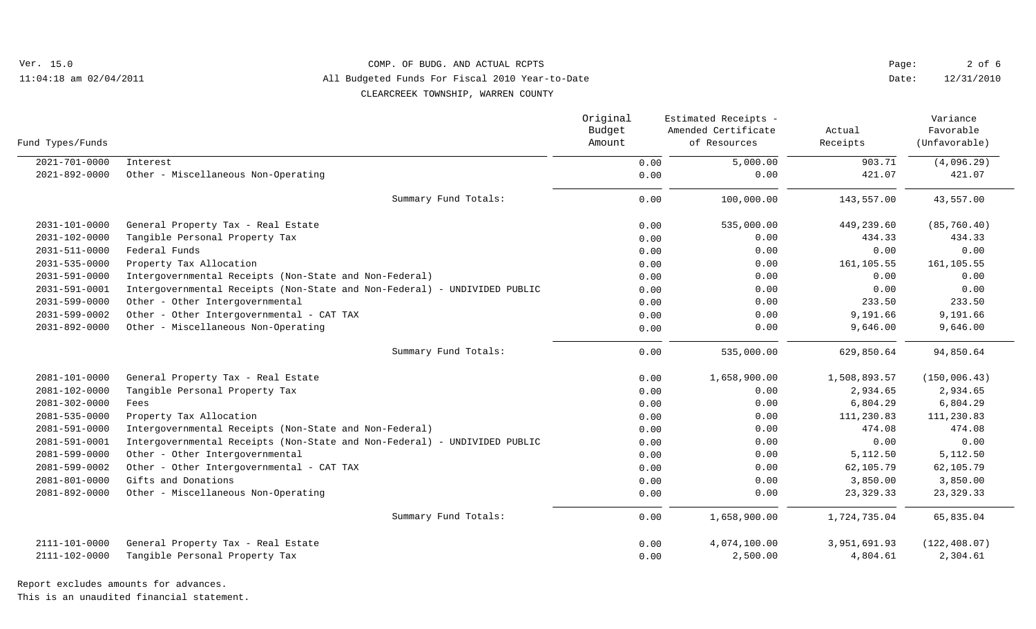Ver. 15.0 11:04:18 am 02/04/2011

## COMP. OF BUDG. AND ACTUAL RCPTS

All Budgeted Funds For Fiscal 2010 Year-to-Date

CLEARCREEK TOWNSHIP, WARREN COUNTY

| Fund Types/Funds    |                                                                           | Original<br>Budget<br>Amount | Estimated Receipts -<br>Amended Certificate<br>of Resources | Actual<br>Receipts | Variance<br>Favorable<br>(Unfavorable) |
|---------------------|---------------------------------------------------------------------------|------------------------------|-------------------------------------------------------------|--------------------|----------------------------------------|
| $2021 - 701 - 0000$ | Interest                                                                  | 0.00                         | 5,000.00                                                    | 903.71             | (4,096.29)                             |
| 2021-892-0000       | Other - Miscellaneous Non-Operating                                       | 0.00                         | 0.00                                                        | 421.07             | 421.07                                 |
|                     | Summary Fund Totals:                                                      | 0.00                         | 100,000.00                                                  | 143,557.00         | 43,557.00                              |
| 2031-101-0000       | General Property Tax - Real Estate                                        | 0.00                         | 535,000.00                                                  | 449,239.60         | (85, 760.40)                           |
| $2031 - 102 - 0000$ | Tangible Personal Property Tax                                            | 0.00                         | 0.00                                                        | 434.33             | 434.33                                 |
| 2031-511-0000       | Federal Funds                                                             | 0.00                         | 0.00                                                        | 0.00               | 0.00                                   |
| 2031-535-0000       | Property Tax Allocation                                                   | 0.00                         | 0.00                                                        | 161,105.55         | 161,105.55                             |
| 2031-591-0000       | Intergovernmental Receipts (Non-State and Non-Federal)                    | 0.00                         | 0.00                                                        | 0.00               | 0.00                                   |
| 2031-591-0001       | Intergovernmental Receipts (Non-State and Non-Federal) - UNDIVIDED PUBLIC | 0.00                         | 0.00                                                        | 0.00               | 0.00                                   |
| 2031-599-0000       | Other - Other Intergovernmental                                           | 0.00                         | 0.00                                                        | 233.50             | 233.50                                 |
| 2031-599-0002       | Other - Other Intergovernmental - CAT TAX                                 | 0.00                         | 0.00                                                        | 9,191.66           | 9,191.66                               |
| 2031-892-0000       | Other - Miscellaneous Non-Operating                                       | 0.00                         | 0.00                                                        | 9,646.00           | 9,646.00                               |
|                     | Summary Fund Totals:                                                      | 0.00                         | 535,000.00                                                  | 629,850.64         | 94,850.64                              |
| 2081-101-0000       | General Property Tax - Real Estate                                        | 0.00                         | 1,658,900.00                                                | 1,508,893.57       | (150, 006.43)                          |
| 2081-102-0000       | Tangible Personal Property Tax                                            | 0.00                         | 0.00                                                        | 2,934.65           | 2,934.65                               |
| 2081-302-0000       | Fees                                                                      | 0.00                         | 0.00                                                        | 6,804.29           | 6,804.29                               |
| 2081-535-0000       | Property Tax Allocation                                                   | 0.00                         | 0.00                                                        | 111,230.83         | 111,230.83                             |
| 2081-591-0000       | Intergovernmental Receipts (Non-State and Non-Federal)                    | 0.00                         | 0.00                                                        | 474.08             | 474.08                                 |
| 2081-591-0001       | Intergovernmental Receipts (Non-State and Non-Federal) - UNDIVIDED PUBLIC | 0.00                         | 0.00                                                        | 0.00               | 0.00                                   |
| 2081-599-0000       | Other - Other Intergovernmental                                           | 0.00                         | 0.00                                                        | 5,112.50           | 5,112.50                               |
| 2081-599-0002       | Other - Other Intergovernmental - CAT TAX                                 | 0.00                         | 0.00                                                        | 62,105.79          | 62,105.79                              |
| 2081-801-0000       | Gifts and Donations                                                       | 0.00                         | 0.00                                                        | 3,850.00           | 3,850.00                               |
| 2081-892-0000       | Other - Miscellaneous Non-Operating                                       | 0.00                         | 0.00                                                        | 23, 329. 33        | 23, 329. 33                            |
|                     | Summary Fund Totals:                                                      | 0.00                         | 1,658,900.00                                                | 1,724,735.04       | 65,835.04                              |
| 2111-101-0000       | General Property Tax - Real Estate                                        | 0.00                         | 4,074,100.00                                                | 3,951,691.93       | (122, 408.07)                          |
| 2111-102-0000       | Tangible Personal Property Tax                                            | 0.00                         | 2,500.00                                                    | 4,804.61           | 2,304.61                               |
|                     |                                                                           |                              |                                                             |                    |                                        |

Report excludes amounts for advances.

This is an unaudited financial statement.

12/31/2010 2 of 6 Date: Page: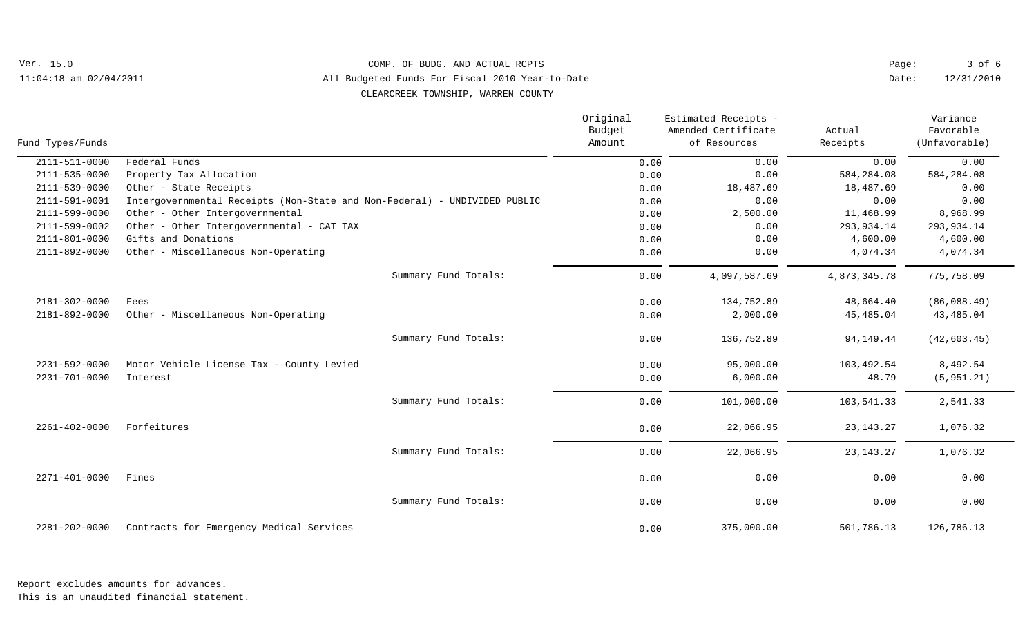Ver. 15.0 11:04:18 am 02/04/2011

## COMP. OF BUDG. AND ACTUAL RCPTS

All Budgeted Funds For Fiscal 2010 Year-to-Date

CLEARCREEK TOWNSHIP, WARREN COUNTY

| Fund Types/Funds    |                                                                           | Original<br>Budget<br>Amount | Estimated Receipts -<br>Amended Certificate<br>of Resources | Actual<br>Receipts | Variance<br>Favorable<br>(Unfavorable) |
|---------------------|---------------------------------------------------------------------------|------------------------------|-------------------------------------------------------------|--------------------|----------------------------------------|
| $2111 - 511 - 0000$ | Federal Funds                                                             | 0.00                         | 0.00                                                        | 0.00               | 0.00                                   |
| 2111-535-0000       | Property Tax Allocation                                                   | 0.00                         | 0.00                                                        | 584,284.08         | 584, 284.08                            |
| 2111-539-0000       | Other - State Receipts                                                    | 0.00                         | 18,487.69                                                   | 18,487.69          | 0.00                                   |
| 2111-591-0001       | Intergovernmental Receipts (Non-State and Non-Federal) - UNDIVIDED PUBLIC | 0.00                         | 0.00                                                        | 0.00               | 0.00                                   |
| 2111-599-0000       | Other - Other Intergovernmental                                           | 0.00                         | 2,500.00                                                    | 11,468.99          | 8,968.99                               |
| 2111-599-0002       | Other - Other Intergovernmental - CAT TAX                                 | 0.00                         | 0.00                                                        | 293,934.14         | 293,934.14                             |
| 2111-801-0000       | Gifts and Donations                                                       | 0.00                         | 0.00                                                        | 4,600.00           | 4,600.00                               |
| 2111-892-0000       | Other - Miscellaneous Non-Operating                                       | 0.00                         | 0.00                                                        | 4,074.34           | 4,074.34                               |
|                     | Summary Fund Totals:                                                      | 0.00                         | 4,097,587.69                                                | 4,873,345.78       | 775,758.09                             |
| 2181-302-0000       | Fees                                                                      | 0.00                         | 134,752.89                                                  | 48,664.40          | (86,088.49)                            |
| 2181-892-0000       | Other - Miscellaneous Non-Operating                                       | 0.00                         | 2,000.00                                                    | 45,485.04          | 43,485.04                              |
|                     | Summary Fund Totals:                                                      | 0.00                         | 136,752.89                                                  | 94, 149. 44        | (42, 603.45)                           |
| 2231-592-0000       | Motor Vehicle License Tax - County Levied                                 | 0.00                         | 95,000.00                                                   | 103,492.54         | 8,492.54                               |
| 2231-701-0000       | Interest                                                                  | 0.00                         | 6,000.00                                                    | 48.79              | (5, 951.21)                            |
|                     | Summary Fund Totals:                                                      | 0.00                         | 101,000.00                                                  | 103,541.33         | 2,541.33                               |
| 2261-402-0000       | Forfeitures                                                               | 0.00                         | 22,066.95                                                   | 23, 143. 27        | 1,076.32                               |
|                     | Summary Fund Totals:                                                      | 0.00                         | 22,066.95                                                   | 23, 143. 27        | 1,076.32                               |
| $2271 - 401 - 0000$ | Fines                                                                     | 0.00                         | 0.00                                                        | 0.00               | 0.00                                   |
|                     | Summary Fund Totals:                                                      | 0.00                         | 0.00                                                        | 0.00               | 0.00                                   |
| 2281-202-0000       | Contracts for Emergency Medical Services                                  | 0.00                         | 375,000.00                                                  | 501,786.13         | 126,786.13                             |

12/31/2010 3 of 6

Date: Page:

This is an unaudited financial statement.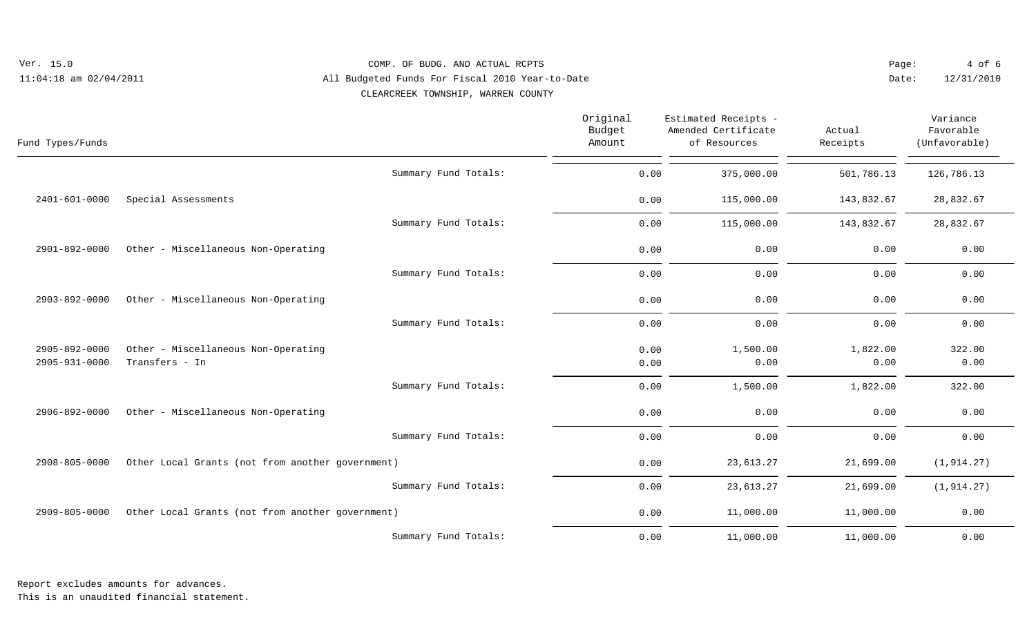| Ver. 15.0<br>COMP. OF BUDG. AND ACTUAL RCPTS                                  |                                                       |                              |                                                             | Page:              | $4$ of 6                               |  |
|-------------------------------------------------------------------------------|-------------------------------------------------------|------------------------------|-------------------------------------------------------------|--------------------|----------------------------------------|--|
| All Budgeted Funds For Fiscal 2010 Year-to-Date<br>$11:04:18$ am $02/04/2011$ |                                                       |                              | Date:                                                       | 12/31/2010         |                                        |  |
|                                                                               | CLEARCREEK TOWNSHIP, WARREN COUNTY                    |                              |                                                             |                    |                                        |  |
| Fund Types/Funds                                                              |                                                       | Original<br>Budget<br>Amount | Estimated Receipts -<br>Amended Certificate<br>of Resources | Actual<br>Receipts | Variance<br>Favorable<br>(Unfavorable) |  |
|                                                                               | Summary Fund Totals:                                  | 0.00                         | 375,000.00                                                  | 501,786.13         | 126,786.13                             |  |
| $2401 - 601 - 0000$                                                           | Special Assessments                                   | 0.00                         | 115,000.00                                                  | 143,832.67         | 28,832.67                              |  |
|                                                                               | Summary Fund Totals:                                  | 0.00                         | 115,000.00                                                  | 143,832.67         | 28,832.67                              |  |
| 2901-892-0000                                                                 | Other - Miscellaneous Non-Operating                   | 0.00                         | 0.00                                                        | 0.00               | 0.00                                   |  |
|                                                                               | Summary Fund Totals:                                  | 0.00                         | 0.00                                                        | 0.00               | 0.00                                   |  |
| 2903-892-0000                                                                 | Other - Miscellaneous Non-Operating                   | 0.00                         | 0.00                                                        | 0.00               | 0.00                                   |  |
|                                                                               | Summary Fund Totals:                                  | 0.00                         | 0.00                                                        | 0.00               | 0.00                                   |  |
| 2905-892-0000<br>2905-931-0000                                                | Other - Miscellaneous Non-Operating<br>Transfers - In | 0.00<br>0.00                 | 1,500.00<br>0.00                                            | 1,822.00<br>0.00   | 322.00<br>0.00                         |  |
|                                                                               | Summary Fund Totals:                                  | 0.00                         | 1,500.00                                                    | 1,822.00           | 322.00                                 |  |
| 2906-892-0000                                                                 | Other - Miscellaneous Non-Operating                   | 0.00                         | 0.00                                                        | 0.00               | 0.00                                   |  |
|                                                                               | Summary Fund Totals:                                  | 0.00                         | 0.00                                                        | 0.00               | 0.00                                   |  |
| 2908-805-0000                                                                 | Other Local Grants (not from another government)      | 0.00                         | 23,613.27                                                   | 21,699.00          | (1, 914.27)                            |  |
|                                                                               | Summary Fund Totals:                                  | 0.00                         | 23,613.27                                                   | 21,699.00          | (1, 914.27)                            |  |
| 2909-805-0000                                                                 | Other Local Grants (not from another government)      | 0.00                         | 11,000.00                                                   | 11,000.00          | 0.00                                   |  |
|                                                                               | Summary Fund Totals:                                  | 0.00                         | 11,000.00                                                   | 11,000.00          | 0.00                                   |  |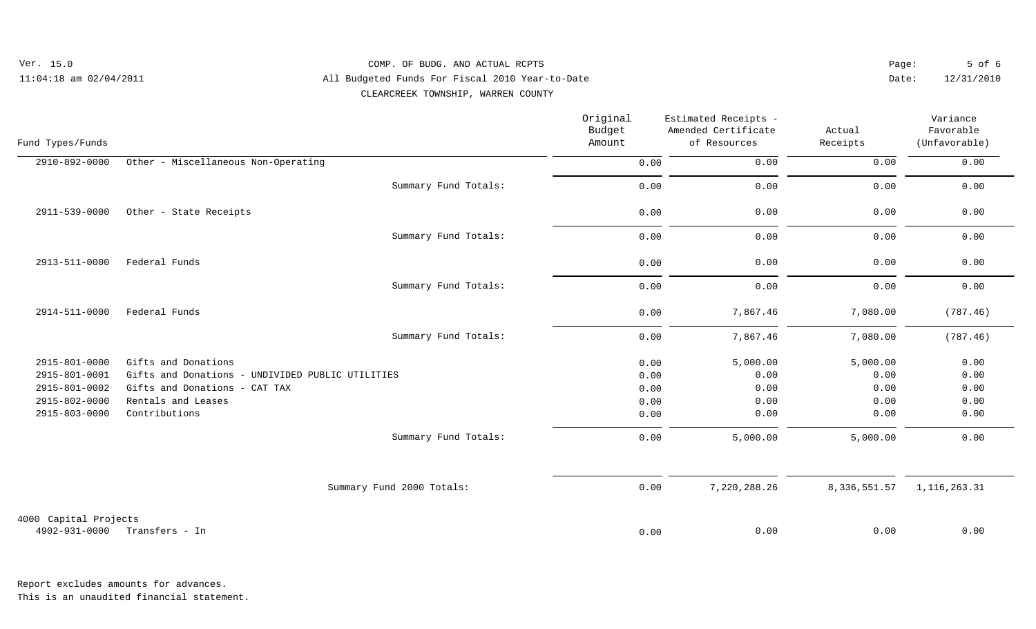| Ver. 15.0                  | COMP. OF BUDG. AND ACTUAL RCPTS                 | Paqe: | 5 of 6     |
|----------------------------|-------------------------------------------------|-------|------------|
| $11:04:18$ am $02/04/2011$ | All Budgeted Funds For Fiscal 2010 Year-to-Date | Date: | 12/31/2010 |
|                            | CLEARCREEK TOWNSHIP, WARREN COUNTY              |       |            |

| Fund Types/Funds      |                                                  |                           | Original<br>Budget<br>Amount | Estimated Receipts -<br>Amended Certificate<br>of Resources | Actual<br>Receipts | Variance<br>Favorable<br>(Unfavorable) |
|-----------------------|--------------------------------------------------|---------------------------|------------------------------|-------------------------------------------------------------|--------------------|----------------------------------------|
| 2910-892-0000         | Other - Miscellaneous Non-Operating              |                           | 0.00                         | 0.00                                                        | 0.00               | 0.00                                   |
|                       |                                                  | Summary Fund Totals:      | 0.00                         | 0.00                                                        | 0.00               | 0.00                                   |
| 2911-539-0000         | Other - State Receipts                           |                           | 0.00                         | 0.00                                                        | 0.00               | 0.00                                   |
|                       |                                                  | Summary Fund Totals:      | 0.00                         | 0.00                                                        | 0.00               | 0.00                                   |
| 2913-511-0000         | Federal Funds                                    |                           | 0.00                         | 0.00                                                        | 0.00               | 0.00                                   |
|                       |                                                  | Summary Fund Totals:      | 0.00                         | 0.00                                                        | 0.00               | 0.00                                   |
| 2914-511-0000         | Federal Funds                                    |                           | 0.00                         | 7,867.46                                                    | 7,080.00           | (787.46)                               |
|                       |                                                  | Summary Fund Totals:      | 0.00                         | 7,867.46                                                    | 7,080.00           | (787.46)                               |
| 2915-801-0000         | Gifts and Donations                              |                           | 0.00                         | 5,000.00                                                    | 5,000.00           | 0.00                                   |
| 2915-801-0001         | Gifts and Donations - UNDIVIDED PUBLIC UTILITIES |                           | 0.00                         | 0.00                                                        | 0.00               | 0.00                                   |
| 2915-801-0002         | Gifts and Donations - CAT TAX                    |                           | 0.00                         | 0.00                                                        | 0.00               | 0.00                                   |
| 2915-802-0000         | Rentals and Leases                               |                           | 0.00                         | 0.00                                                        | 0.00               | 0.00                                   |
| 2915-803-0000         | Contributions                                    |                           | 0.00                         | 0.00                                                        | 0.00               | 0.00                                   |
|                       |                                                  | Summary Fund Totals:      | 0.00                         | 5,000.00                                                    | 5,000.00           | 0.00                                   |
|                       |                                                  | Summary Fund 2000 Totals: | 0.00                         | 7,220,288.26                                                | 8,336,551.57       | 1, 116, 263. 31                        |
| 4000 Capital Projects |                                                  |                           |                              |                                                             |                    |                                        |
| 4902-931-0000         | Transfers - In                                   |                           | 0.00                         | 0.00                                                        | 0.00               | 0.00                                   |